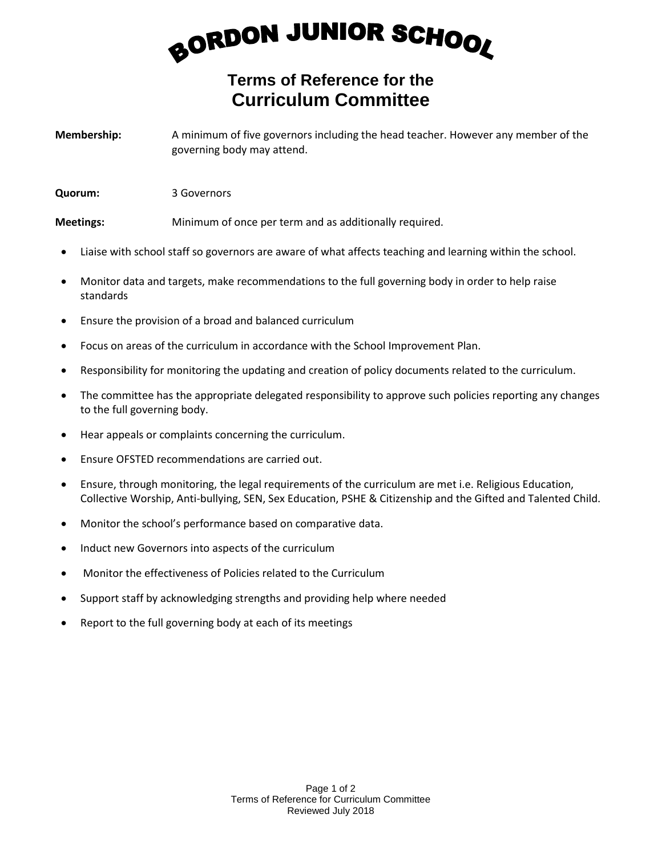## BORDON JUNIOR SCHOOL

## **Terms of Reference for the Curriculum Committee**

**Membership:** A minimum of five governors including the head teacher. However any member of the governing body may attend.

**Quorum:** 3 Governors

**Meetings:** Minimum of once per term and as additionally required.

- Liaise with school staff so governors are aware of what affects teaching and learning within the school.
- Monitor data and targets, make recommendations to the full governing body in order to help raise standards
- Ensure the provision of a broad and balanced curriculum
- Focus on areas of the curriculum in accordance with the School Improvement Plan.
- Responsibility for monitoring the updating and creation of policy documents related to the curriculum.
- The committee has the appropriate delegated responsibility to approve such policies reporting any changes to the full governing body.
- Hear appeals or complaints concerning the curriculum.
- Ensure OFSTED recommendations are carried out.
- Ensure, through monitoring, the legal requirements of the curriculum are met i.e. Religious Education, Collective Worship, Anti-bullying, SEN, Sex Education, PSHE & Citizenship and the Gifted and Talented Child.
- Monitor the school's performance based on comparative data.
- Induct new Governors into aspects of the curriculum
- Monitor the effectiveness of Policies related to the Curriculum
- Support staff by acknowledging strengths and providing help where needed
- Report to the full governing body at each of its meetings